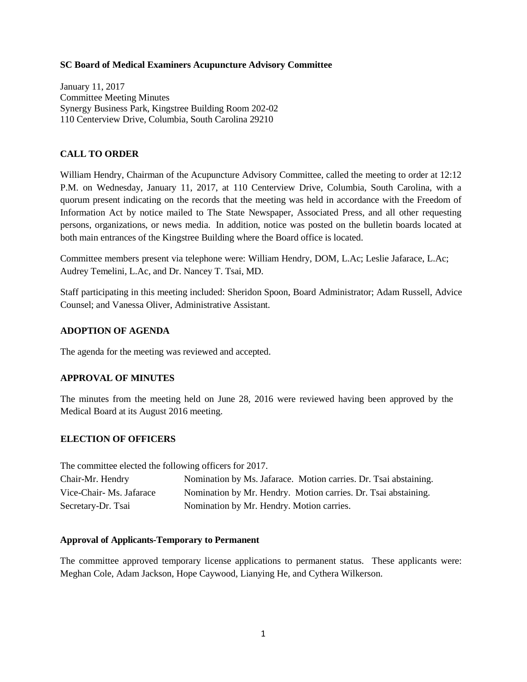### **SC Board of Medical Examiners Acupuncture Advisory Committee**

January 11, 2017 Committee Meeting Minutes Synergy Business Park, Kingstree Building Room 202-02 110 Centerview Drive, Columbia, South Carolina 29210

# **CALL TO ORDER**

William Hendry, Chairman of the Acupuncture Advisory Committee, called the meeting to order at 12:12 P.M. on Wednesday, January 11, 2017, at 110 Centerview Drive, Columbia, South Carolina, with a quorum present indicating on the records that the meeting was held in accordance with the Freedom of Information Act by notice mailed to The State Newspaper, Associated Press, and all other requesting persons, organizations, or news media. In addition, notice was posted on the bulletin boards located at both main entrances of the Kingstree Building where the Board office is located.

Committee members present via telephone were: William Hendry, DOM, L.Ac; Leslie Jafarace, L.Ac; Audrey Temelini, L.Ac, and Dr. Nancey T. Tsai, MD.

Staff participating in this meeting included: Sheridon Spoon, Board Administrator; Adam Russell, Advice Counsel; and Vanessa Oliver, Administrative Assistant.

### **ADOPTION OF AGENDA**

The agenda for the meeting was reviewed and accepted.

## **APPROVAL OF MINUTES**

The minutes from the meeting held on June 28, 2016 were reviewed having been approved by the Medical Board at its August 2016 meeting.

## **ELECTION OF OFFICERS**

The committee elected the following officers for 2017.

| Chair-Mr. Hendry        | Nomination by Ms. Jafarace. Motion carries. Dr. Tsai abstaining. |
|-------------------------|------------------------------------------------------------------|
| Vice-Chair-Ms. Jafarace | Nomination by Mr. Hendry. Motion carries. Dr. Tsai abstaining.   |
| Secretary-Dr. Tsai      | Nomination by Mr. Hendry. Motion carries.                        |

#### **Approval of Applicants-Temporary to Permanent**

The committee approved temporary license applications to permanent status. These applicants were: Meghan Cole, Adam Jackson, Hope Caywood, Lianying He, and Cythera Wilkerson.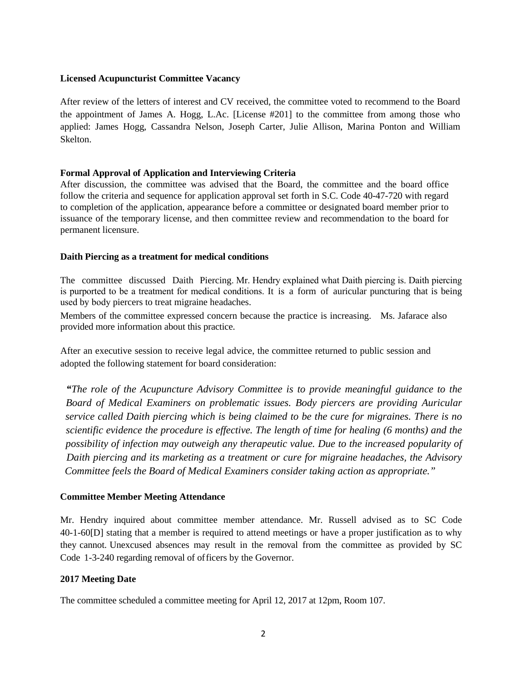### **Licensed Acupuncturist Committee Vacancy**

After review of the letters of interest and CV received, the committee voted to recommend to the Board the appointment of James A. Hogg, L.Ac. [License #201] to the committee from among those who applied: James Hogg, Cassandra Nelson, Joseph Carter, Julie Allison, Marina Ponton and William Skelton.

### **Formal Approval of Application and Interviewing Criteria**

After discussion, the committee was advised that the Board, the committee and the board office follow the criteria and sequence for application approval set forth in S.C. Code 40-47-720 with regard to completion of the application, appearance before a committee or designated board member prior to issuance of the temporary license, and then committee review and recommendation to the board for permanent licensure.

### **Daith Piercing as a treatment for medical conditions**

The committee discussed Daith Piercing. Mr. Hendry explained what Daith piercing is. Daith piercing is purported to be a treatment for medical conditions. It is a form of auricular puncturing that is being used by body piercers to treat migraine headaches.

Members of the committee expressed concern because the practice is increasing. Ms. Jafarace also provided more information about this practice.

After an executive session to receive legal advice, the committee returned to public session and adopted the following statement for board consideration:

*"The role of the Acupuncture Advisory Committee is to provide meaningful guidance to the Board of Medical Examiners on problematic issues. Body piercers are providing Auricular service called Daith piercing which is being claimed to be the cure for migraines. There is no scientific evidence the procedure is effective. The length of time for healing (6 months) and the possibility of infection may outweigh any therapeutic value. Due to the increased popularity of Daith piercing and its marketing as a treatment or cure for migraine headaches, the Advisory Committee feels the Board of Medical Examiners consider taking action as appropriate."* 

### **Committee Member Meeting Attendance**

Mr. Hendry inquired about committee member attendance. Mr. Russell advised as to SC Code 40-1-60[D] stating that a member is required to attend meetings or have a proper justification as to why they cannot. Unexcused absences may result in the removal from the committee as provided by SC Code 1-3-240 regarding removal of officers by the Governor.

#### **2017 Meeting Date**

The committee scheduled a committee meeting for April 12, 2017 at 12pm, Room 107.